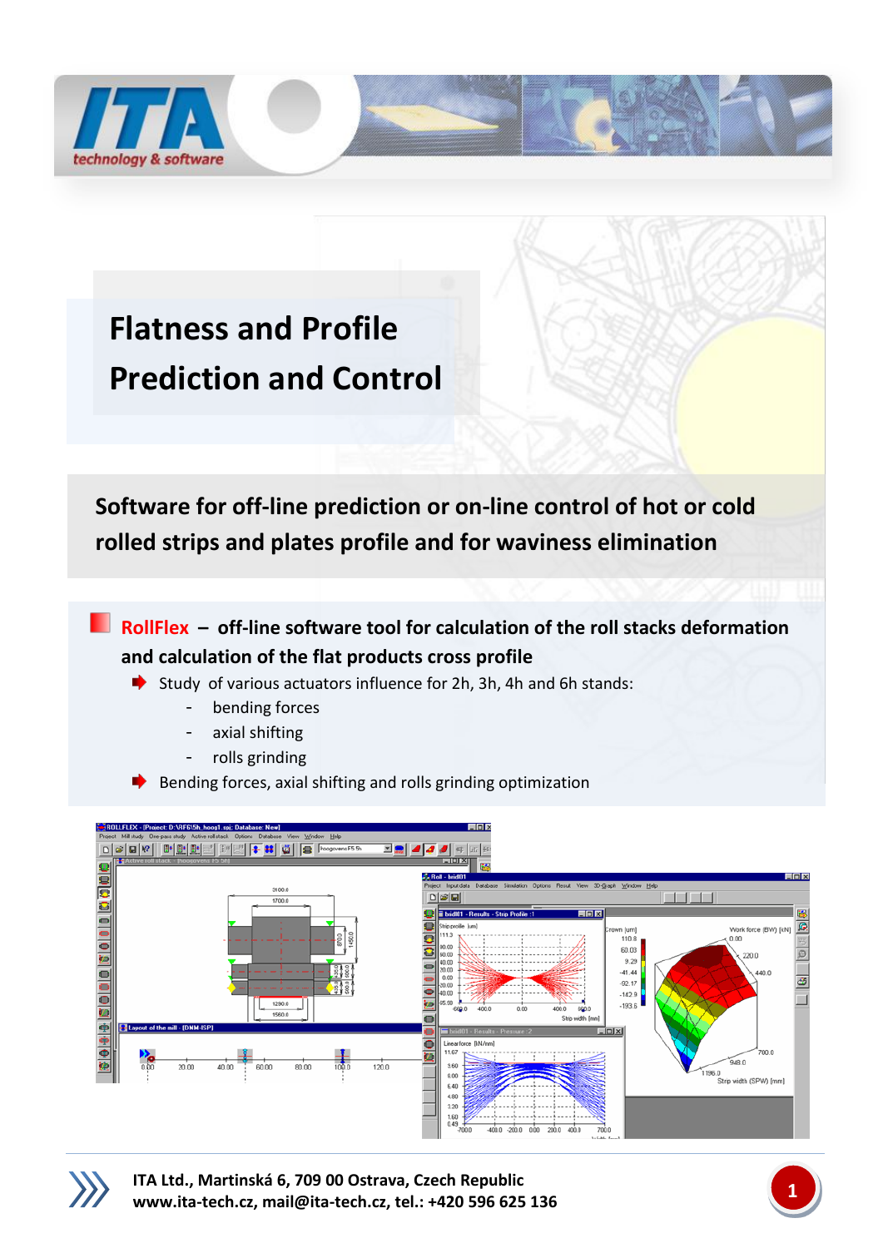

## **Flatness and Profile Prediction and Control**

 **Software for off-line prediction or on-line control of hot or cold rolled strips and plates profile and for waviness elimination**

**RollFlex – off-line software tool for calculation of the roll stacks deformation and calculation of the flat products cross profile**

- Study of various actuators influence for 2h, 3h, 4h and 6h stands:
	- bending forces
	- axial shifting
	- rolls grinding
- Bending forces, axial shifting and rolls grinding optimization





**ITA Ltd., Martinská 6, 709 00 Ostrava, Czech Republic [www.ita-tech.cz,](http://www.ita-tech.cz/) [mail@ita-tech.cz,](mailto:mail@ita-tech.cz) tel.: +420 <sup>596</sup> 625 136 1**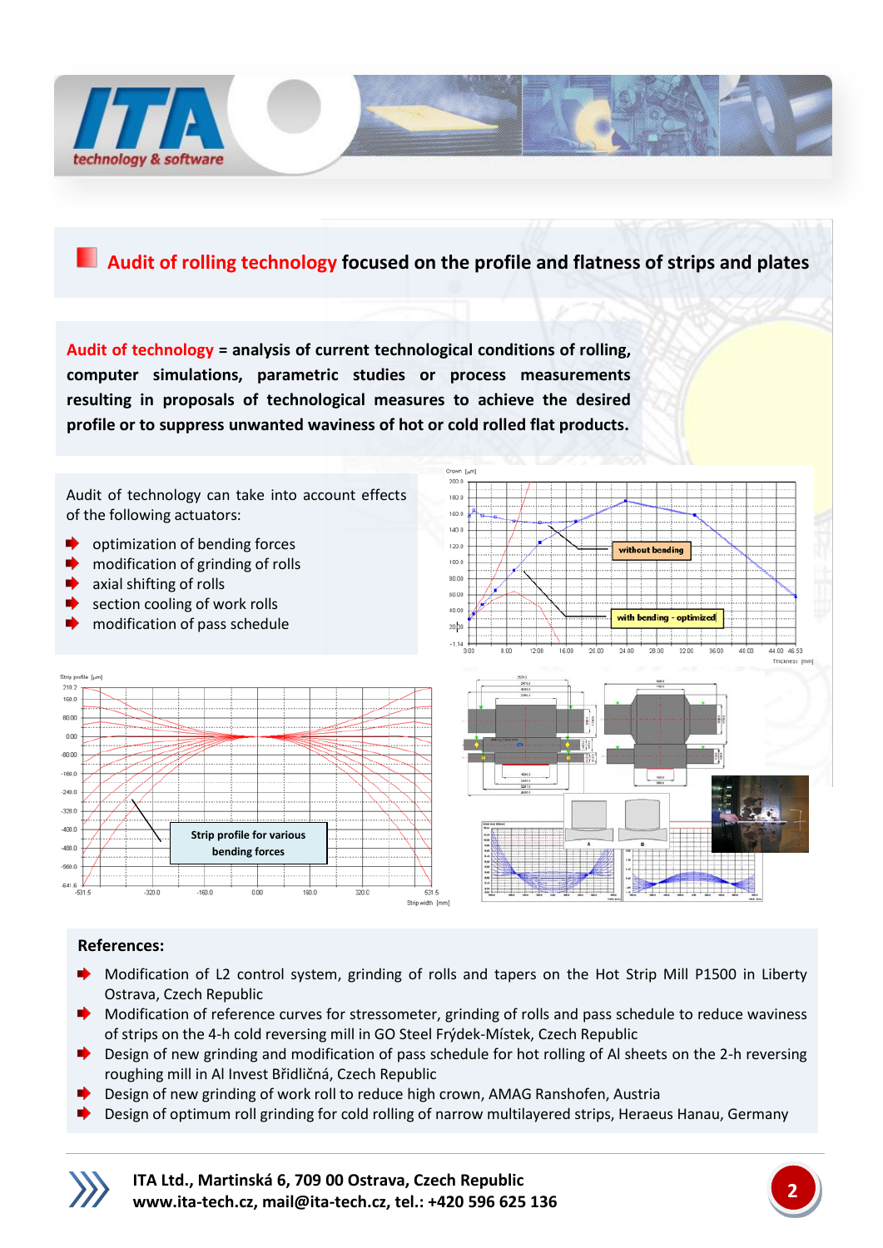

## **Audit of rolling technology focused on the profile and flatness of strips and plates**

**Audit of technology = analysis of current technological conditions of rolling, computer simulations, parametric studies or process measurements resulting in proposals of technological measures to achieve the desired profile or to suppress unwanted waviness of hot or cold rolled flat products.**



## **References:**

- ۰ Modification of L2 control system, grinding of rolls and tapers on the Hot Strip Mill P1500 in Liberty Ostrava, Czech Republic
- ◆ Modification of reference curves for stressometer, grinding of rolls and pass schedule to reduce waviness of strips on the 4-h cold reversing mill in GO Steel Frýdek-Místek, Czech Republic
- Design of new grinding and modification of pass schedule for hot rolling of Al sheets on the 2-h reversing ∙ roughing mill in Al Invest Břidličná, Czech Republic
- Design of new grinding of work roll to reduce high crown, AMAG Ranshofen, Austria
- Design of optimum roll grinding for cold rolling of narrow multilayered strips, Heraeus Hanau, Germany



**ITA Ltd., Martinská 6, 709 00 Ostrava, Czech Republic [www.ita-tech.cz,](http://www.ita-tech.cz/) [mail@ita-tech.cz,](mailto:mail@ita-tech.cz) tel.: +420 <sup>596</sup> 625 136 2**